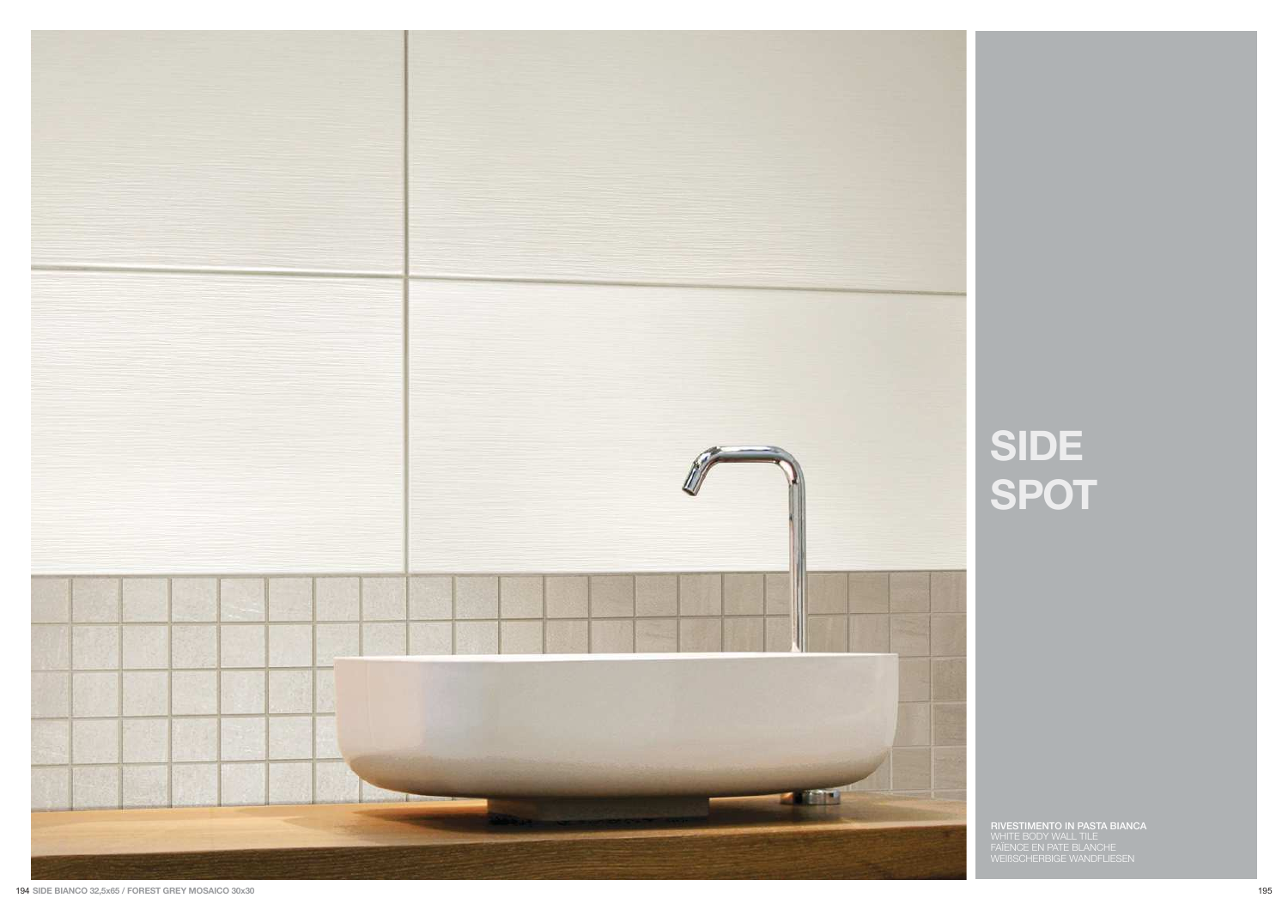

# SIDE<br>SPOT

**RIVESTIMENTO IN PASTA BIANCA**<br>WHITE BODY WALL TILE<br>FAÏENCE EN PATE BLANCHE<br>WEIßSCHERBIGE WANDFLIESEN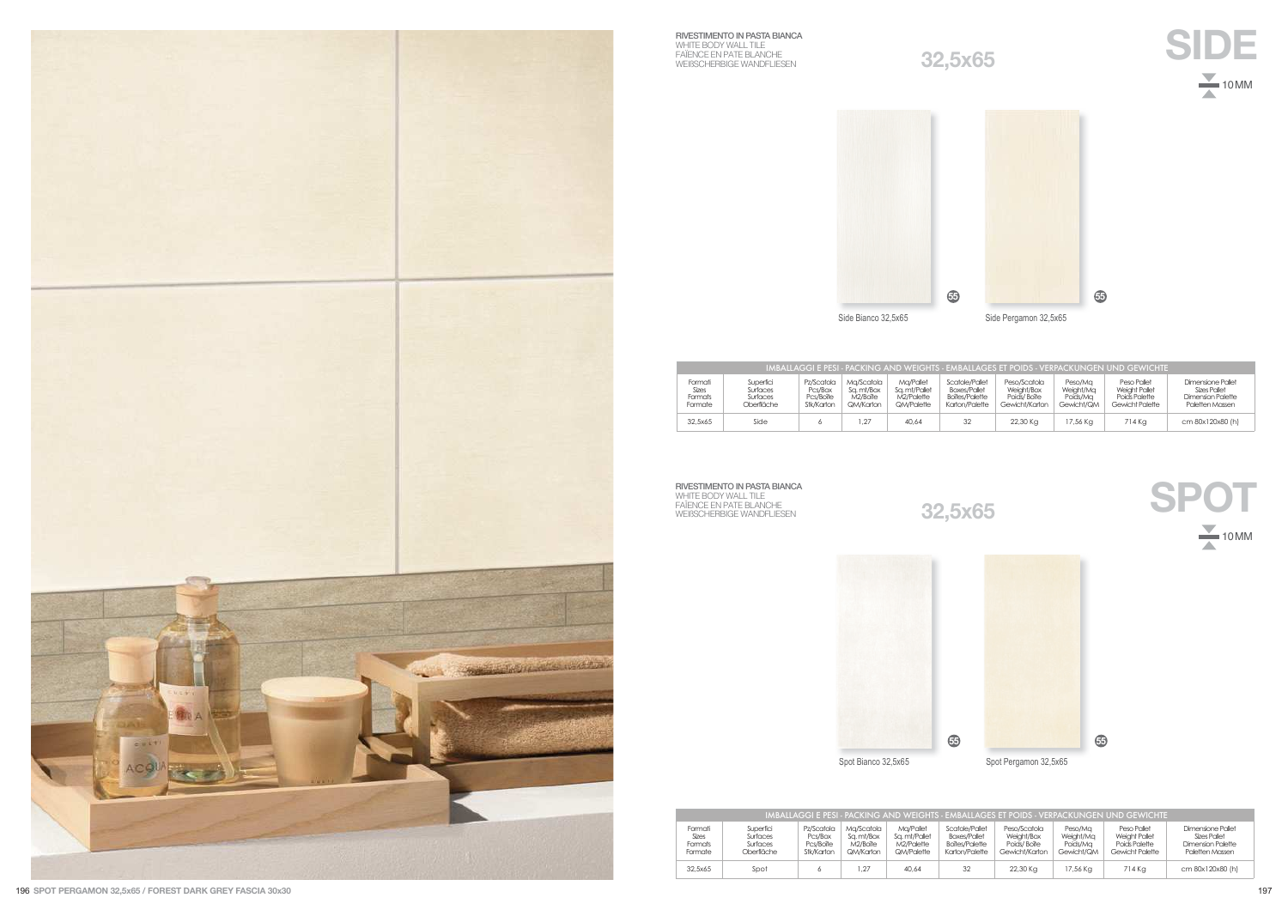

**RIVESTIMENTO IN PASTA BIANCA**<br>WHITE BODY WALL TILE<br>FAÏENCE EN PATE BLANCHE<br>WEIßSCHERBIGE WANDFLIESEN

**32,5x65**





| IMBALLAGGI E PESI - PACKING AND WEIGHTS - EMBALLAGES ET POIDS - VERPACKUNGEN UND GEWICHTE |                                                 |                                                  |                                                   |                                                        |                                                                                  |                                                             |                                                |                                                                  |                                                                           |
|-------------------------------------------------------------------------------------------|-------------------------------------------------|--------------------------------------------------|---------------------------------------------------|--------------------------------------------------------|----------------------------------------------------------------------------------|-------------------------------------------------------------|------------------------------------------------|------------------------------------------------------------------|---------------------------------------------------------------------------|
| Formati<br>Sizes<br>Formats<br>Formate                                                    | Superfici<br>Surfaces<br>Surfaces<br>Oberfläche | Pz/Scatola<br>Pcs/Box<br>Pcs/Boîte<br>Stk/Karton | Ma/Scatola<br>Sa. mt/Box<br>M2/Boîte<br>QM/Karton | Ma/Pallet<br>Sa. mt/Pallet<br>M2/Palette<br>QM/Palette | Scatole/Pallet<br><b>Boxes/Pallet</b><br><b>Boîtes/Palette</b><br>Karton/Palette | Peso/Scatola<br>Weight/Box<br>Poids/Boîte<br>Gewicht/Karton | Peso/Ma<br>Weight/Mg<br>Poids/Ma<br>Gewicht/QM | Peso Pallet<br>Weight Pallet<br>Poids Palette<br>Gewicht Polette | Dimensione Pallet<br>Sizes Pallet<br>Dimension Palette<br>Paletten Massen |
| 32.5×65                                                                                   | Side                                            |                                                  | 1.27                                              | 40.64                                                  | 32                                                                               | 22,30 Kg                                                    | 17.56 Ka                                       | 714 Ka                                                           | cm 80x120x80 (h)                                                          |

**RIVESTIMENTO IN PASTA BIANCA**<br>WHITE BODY WALL TILE<br>FAÏENCE EN PATE BLANCHE<br>WEIßSCHERBIGE WANDFLIESEN

```
32,5x65
```




| IMBALLAGGI E PESI - PACKING AND WEIGHTS - EMBALLAGES ET POIDS - VERPACKUNGEN UND GEWICHTE |                                                 |                                                  |                                                   |                                                        |                                                                           |                                                             |                                                |                                                                  |                                                                           |
|-------------------------------------------------------------------------------------------|-------------------------------------------------|--------------------------------------------------|---------------------------------------------------|--------------------------------------------------------|---------------------------------------------------------------------------|-------------------------------------------------------------|------------------------------------------------|------------------------------------------------------------------|---------------------------------------------------------------------------|
| Formati<br>Sizes<br><b>Formats</b><br>Formate                                             | Superfici<br>Surfaces<br>Surfaces<br>Oberfläche | Pz/Scatola<br>Pcs/Box<br>Pcs/Boîte<br>Stk/Karton | Ma/Scatola<br>Sa. mt/Box<br>M2/Boîte<br>QM/Karton | Ma/Pallet<br>Sa. mt/Pallet<br>M2/Palette<br>QM/Palette | Scatole/Pallet<br><b>Boxes/Pallet</b><br>Boîtes/Palette<br>Karton/Palette | Peso/Scatola<br>Weight/Box<br>Poids/Boîte<br>Gewicht/Karton | Peso/Ma<br>Weight/Mg<br>Poids/Ma<br>Gewicht/QM | Peso Pallet<br>Weight Pallet<br>Poids Palette<br>Gewicht Palette | Dimensione Pallet<br>Sizes Pallet<br>Dimension Palette<br>Paletten Massen |
| 32.5x65                                                                                   | Spot                                            |                                                  | 1.27                                              | 40.64                                                  | 32                                                                        | 22,30 Kg                                                    | 17,56 Kg                                       | 714 Ka                                                           | cm 80x120x80 (h)                                                          |